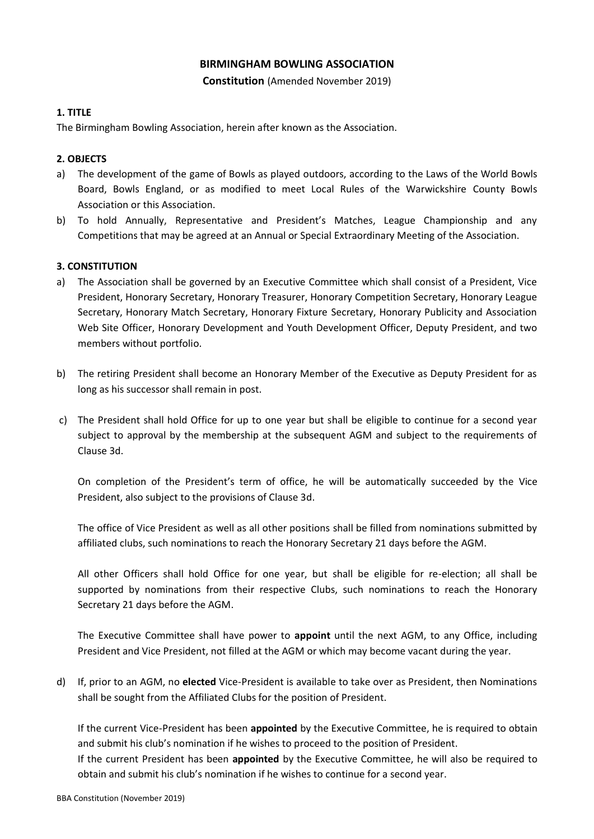# **BIRMINGHAM BOWLING ASSOCIATION**

**Constitution** (Amended November 2019)

# **1. TITLE**

The Birmingham Bowling Association, herein after known as the Association.

# **2. OBJECTS**

- a) The development of the game of Bowls as played outdoors, according to the Laws of the World Bowls Board, Bowls England, or as modified to meet Local Rules of the Warwickshire County Bowls Association or this Association.
- b) To hold Annually, Representative and President's Matches, League Championship and any Competitions that may be agreed at an Annual or Special Extraordinary Meeting of the Association.

# **3. CONSTITUTION**

- a) The Association shall be governed by an Executive Committee which shall consist of a President, Vice President, Honorary Secretary, Honorary Treasurer, Honorary Competition Secretary, Honorary League Secretary, Honorary Match Secretary, Honorary Fixture Secretary, Honorary Publicity and Association Web Site Officer, Honorary Development and Youth Development Officer, Deputy President, and two members without portfolio.
- b) The retiring President shall become an Honorary Member of the Executive as Deputy President for as long as his successor shall remain in post.
- c) The President shall hold Office for up to one year but shall be eligible to continue for a second year subject to approval by the membership at the subsequent AGM and subject to the requirements of Clause 3d.

On completion of the President's term of office, he will be automatically succeeded by the Vice President, also subject to the provisions of Clause 3d.

The office of Vice President as well as all other positions shall be filled from nominations submitted by affiliated clubs, such nominations to reach the Honorary Secretary 21 days before the AGM.

All other Officers shall hold Office for one year, but shall be eligible for re-election; all shall be supported by nominations from their respective Clubs, such nominations to reach the Honorary Secretary 21 days before the AGM.

The Executive Committee shall have power to **appoint** until the next AGM, to any Office, including President and Vice President, not filled at the AGM or which may become vacant during the year.

d) If, prior to an AGM, no **elected** Vice-President is available to take over as President, then Nominations shall be sought from the Affiliated Clubs for the position of President.

If the current Vice-President has been **appointed** by the Executive Committee, he is required to obtain and submit his club's nomination if he wishes to proceed to the position of President.

If the current President has been **appointed** by the Executive Committee, he will also be required to obtain and submit his club's nomination if he wishes to continue for a second year.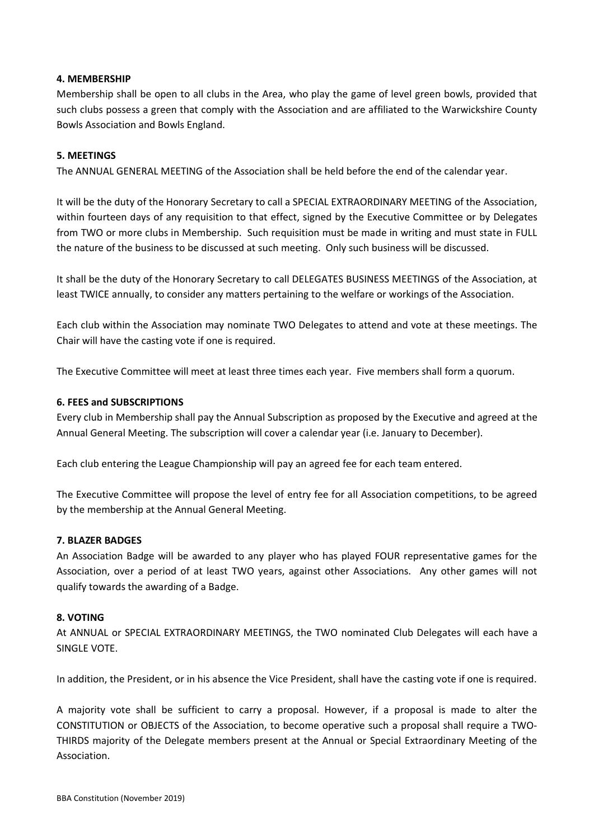## **4. MEMBERSHIP**

Membership shall be open to all clubs in the Area, who play the game of level green bowls, provided that such clubs possess a green that comply with the Association and are affiliated to the Warwickshire County Bowls Association and Bowls England.

### **5. MEETINGS**

The ANNUAL GENERAL MEETING of the Association shall be held before the end of the calendar year.

It will be the duty of the Honorary Secretary to call a SPECIAL EXTRAORDINARY MEETING of the Association, within fourteen days of any requisition to that effect, signed by the Executive Committee or by Delegates from TWO or more clubs in Membership. Such requisition must be made in writing and must state in FULL the nature of the business to be discussed at such meeting. Only such business will be discussed.

It shall be the duty of the Honorary Secretary to call DELEGATES BUSINESS MEETINGS of the Association, at least TWICE annually, to consider any matters pertaining to the welfare or workings of the Association.

Each club within the Association may nominate TWO Delegates to attend and vote at these meetings. The Chair will have the casting vote if one is required.

The Executive Committee will meet at least three times each year. Five members shall form a quorum.

### **6. FEES and SUBSCRIPTIONS**

Every club in Membership shall pay the Annual Subscription as proposed by the Executive and agreed at the Annual General Meeting. The subscription will cover a calendar year (i.e. January to December).

Each club entering the League Championship will pay an agreed fee for each team entered.

The Executive Committee will propose the level of entry fee for all Association competitions, to be agreed by the membership at the Annual General Meeting.

### **7. BLAZER BADGES**

An Association Badge will be awarded to any player who has played FOUR representative games for the Association, over a period of at least TWO years, against other Associations. Any other games will not qualify towards the awarding of a Badge.

#### **8. VOTING**

At ANNUAL or SPECIAL EXTRAORDINARY MEETINGS, the TWO nominated Club Delegates will each have a SINGLE VOTE.

In addition, the President, or in his absence the Vice President, shall have the casting vote if one is required.

A majority vote shall be sufficient to carry a proposal. However, if a proposal is made to alter the CONSTITUTION or OBJECTS of the Association, to become operative such a proposal shall require a TWO-THIRDS majority of the Delegate members present at the Annual or Special Extraordinary Meeting of the Association.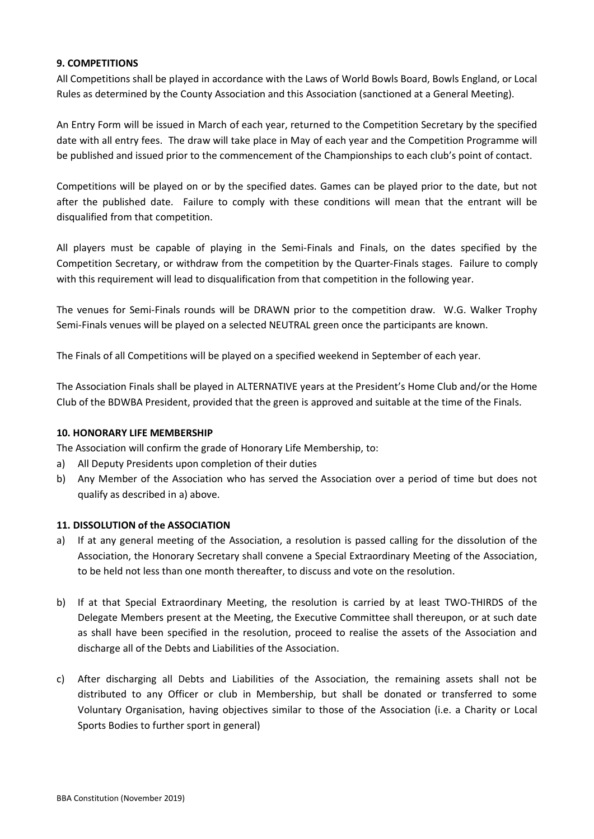## **9. COMPETITIONS**

All Competitions shall be played in accordance with the Laws of World Bowls Board, Bowls England, or Local Rules as determined by the County Association and this Association (sanctioned at a General Meeting).

An Entry Form will be issued in March of each year, returned to the Competition Secretary by the specified date with all entry fees. The draw will take place in May of each year and the Competition Programme will be published and issued prior to the commencement of the Championships to each club's point of contact.

Competitions will be played on or by the specified dates. Games can be played prior to the date, but not after the published date. Failure to comply with these conditions will mean that the entrant will be disqualified from that competition.

All players must be capable of playing in the Semi-Finals and Finals, on the dates specified by the Competition Secretary, or withdraw from the competition by the Quarter-Finals stages. Failure to comply with this requirement will lead to disqualification from that competition in the following year.

The venues for Semi-Finals rounds will be DRAWN prior to the competition draw. W.G. Walker Trophy Semi-Finals venues will be played on a selected NEUTRAL green once the participants are known.

The Finals of all Competitions will be played on a specified weekend in September of each year.

The Association Finals shall be played in ALTERNATIVE years at the President's Home Club and/or the Home Club of the BDWBA President, provided that the green is approved and suitable at the time of the Finals.

## **10. HONORARY LIFE MEMBERSHIP**

The Association will confirm the grade of Honorary Life Membership, to:

- a) All Deputy Presidents upon completion of their duties
- b) Any Member of the Association who has served the Association over a period of time but does not qualify as described in a) above.

## **11. DISSOLUTION of the ASSOCIATION**

- a) If at any general meeting of the Association, a resolution is passed calling for the dissolution of the Association, the Honorary Secretary shall convene a Special Extraordinary Meeting of the Association, to be held not less than one month thereafter, to discuss and vote on the resolution.
- b) If at that Special Extraordinary Meeting, the resolution is carried by at least TWO-THIRDS of the Delegate Members present at the Meeting, the Executive Committee shall thereupon, or at such date as shall have been specified in the resolution, proceed to realise the assets of the Association and discharge all of the Debts and Liabilities of the Association.
- c) After discharging all Debts and Liabilities of the Association, the remaining assets shall not be distributed to any Officer or club in Membership, but shall be donated or transferred to some Voluntary Organisation, having objectives similar to those of the Association (i.e. a Charity or Local Sports Bodies to further sport in general)